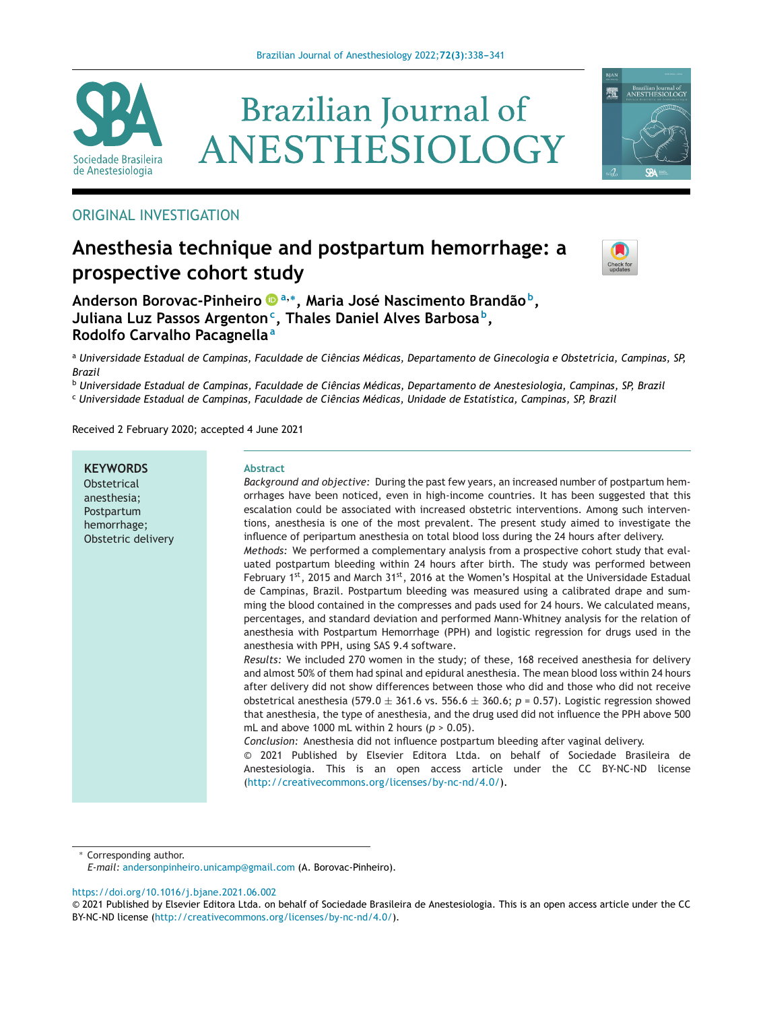

# **Brazilian Journal of** ANESTHESIOLOGY



# ORIGINAL INVESTIGATION

# **Anesthesia technique and postpartum hemorrhage: a prospective cohort study**



**Anderson Borovac-Pinheiro <sup>a</sup>,∗, Maria José Nascimento Brandão b, Juliana Luz Passos Argentonc, Thales Daniel Alves Barbosa b, Rodolfo Carvalho Pacagnella<sup>a</sup>**

a Universidade Estadual de Campinas, Faculdade de Ciências Médicas, Departamento de Ginecologia e Obstetrícia, Campinas, SP, *Brazil*

<sup>b</sup> *Universidade Estadual de Campinas, Faculdade de Ciências Médicas, Departamento de Anestesiologia, Campinas, SP, Brazil* <sup>c</sup> *Universidade Estadual de Campinas, Faculdade de Ciências Médicas, Unidade de Estatística, Campinas, SP, Brazil*

Received 2 February 2020; accepted 4 June 2021

**KEYWORDS Obstetrical** anesthesia; Postpartum hemorrhage; Obstetric delivery

#### **Abstract**

*Background and objective:* During the past few years, an increased number of postpartum hemorrhages have been noticed, even in high-income countries. It has been suggested that this escalation could be associated with increased obstetric interventions. Among such interventions, anesthesia is one of the most prevalent. The present study aimed to investigate the influence of peripartum anesthesia on total blood loss during the 24 hours after delivery. *Methods:* We performed a complementary analysis from a prospective cohort study that evaluated postpartum bleeding within 24 hours after birth. The study was performed between February 1st, 2015 and March 31st, 2016 at the Women's Hospital at the Universidade Estadual de Campinas, Brazil. Postpartum bleeding was measured using a calibrated drape and summing the blood contained in the compresses and pads used for 24 hours. We calculated means, percentages, and standard deviation and performed Mann-Whitney analysis for the relation of

anesthesia with Postpartum Hemorrhage (PPH) and logistic regression for drugs used in the anesthesia with PPH, using SAS 9.4 software. *Results:* We included 270 women in the study; of these, 168 received anesthesia for delivery

and almost 50% of them had spinal and epidural anesthesia. The mean blood loss within 24 hours after delivery did not show differences between those who did and those who did not receive obstetrical anesthesia (579.0  $\pm$  361.6 vs. 556.6  $\pm$  360.6;  $p = 0.57$ ). Logistic regression showed that anesthesia, the type of anesthesia, and the drug used did not influence the PPH above 500 mL and above 1000 mL within 2 hours (*p* > 0.05).

*Conclusion:* Anesthesia did not influence postpartum bleeding after vaginal delivery.

© 2021 Published by Elsevier Editora Ltda. on behalf of Sociedade Brasileira de Anestesiologia. This is an open access article under the CC BY-NC-ND license [\(http://creativecommons.org/licenses/by-nc-nd/4.0/\)](http://creativecommons.org/licenses/by-nc-nd/4.0/).

∗ Corresponding author.

<https://doi.org/10.1016/j.bjane.2021.06.002>

*E-mail:* [andersonpinheiro.unicamp@gmail.com](mailto:andersonpinheiro.unicamp@gmail.com) (A. Borovac-Pinheiro).

<sup>©</sup> 2021 Published by Elsevier Editora Ltda. on behalf of Sociedade Brasileira de Anestesiologia. This is an open access article under the CC BY-NC-ND license (<http://creativecommons.org/licenses/by-nc-nd/4.0/>).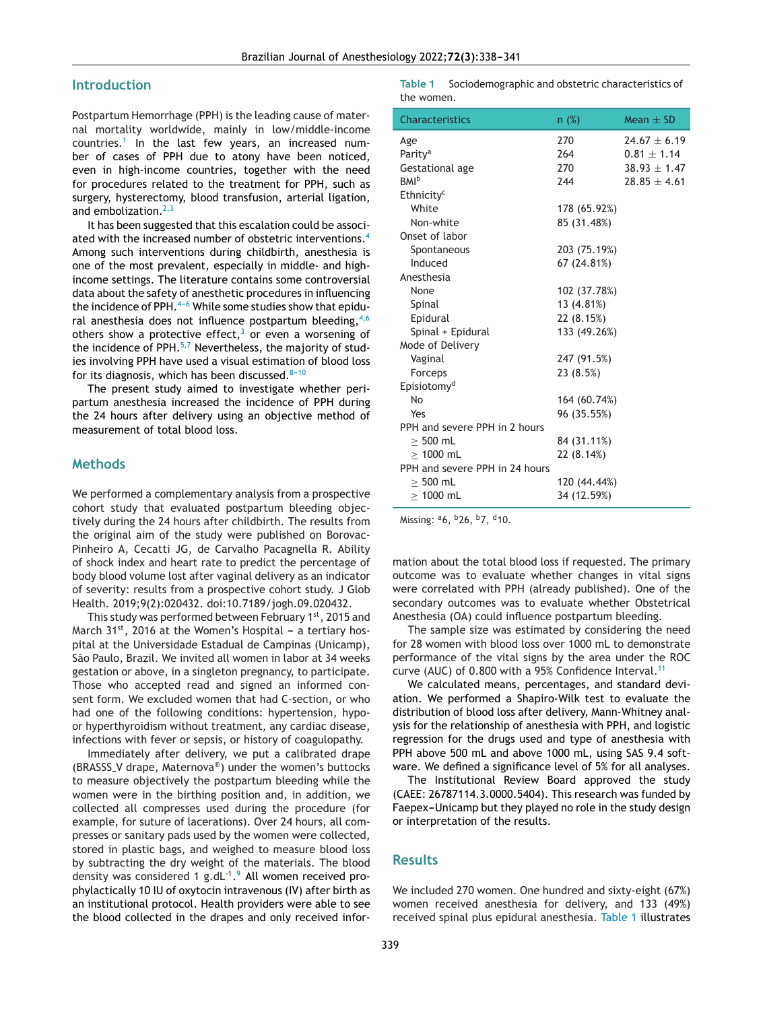#### **Introduction**

Postpartum Hemorrhage (PPH) is the leading cause of maternal mortality worldwide, mainly in low/middle-income countries.[1](#page-3-0) In the last few years, an increased number of cases of PPH due to atony have been noticed, even in high-income countries, together with the need for procedures related to the treatment for PPH, such as surgery, hysterectomy, blood transfusion, arterial ligation, and embolization. $2,3$ 

It has been suggested that this escalation could be associ-ated with the increased number of obstetric interventions.<sup>[4](#page-3-0)</sup> Among such interventions during childbirth, anesthesia is one of the most prevalent, especially in middle- and highincome settings. The literature contains some controversial data about the safety of anesthetic procedures in influencing the incidence of PPH. $4-6$  While some studies show that epidural anesthesia does not influence postpartum bleeding,  $4,6$ others show a protective effect, $3$  or even a worsening of the incidence of PPH. $5.7$  Nevertheless, the majority of studies involving PPH have used a visual estimation of blood loss for its diagnosis, which has been discussed. $8-10$ 

The present study aimed to investigate whether peripartum anesthesia increased the incidence of PPH during the 24 hours after delivery using an objective method of measurement of total blood loss.

#### **Methods**

We performed a complementary analysis from a prospective cohort study that evaluated postpartum bleeding objectively during the 24 hours after childbirth. The results from the original aim of the study were published on Borovac-Pinheiro A, Cecatti JG, de Carvalho Pacagnella R. Ability of shock index and heart rate to predict the percentage of body blood volume lost after vaginal delivery as an indicator of severity: results from a prospective cohort study. J Glob Health. 2019;9(2):020432. doi:10.7189/jogh.09.020432.

This study was performed between February 1<sup>st</sup>, 2015 and March  $31^{st}$ , 2016 at the Women's Hospital - a tertiary hospital at the Universidade Estadual de Campinas (Unicamp), São Paulo, Brazil. We invited all women in labor at 34 weeks gestation or above, in a singleton pregnancy, to participate. Those who accepted read and signed an informed consent form. We excluded women that had C-section, or who had one of the following conditions: hypertension, hypoor hyperthyroidism without treatment, any cardiac disease, infections with fever or sepsis, or history of coagulopathy.

Immediately after delivery, we put a calibrated drape (BRASSS V drape, Maternova®) under the women's buttocks to measure objectively the postpartum bleeding while the women were in the birthing position and, in addition, we collected all compresses used during the procedure (for example, for suture of lacerations). Over 24 hours, all compresses or sanitary pads used by the women were collected, stored in plastic bags, and weighed to measure blood loss by subtracting the dry weight of the materials. The blood density was considered 1 g.dL $^{-1}$ .<sup>9</sup> All women received prophylactically 10 IU of oxytocin intravenous (IV) after birth as an institutional protocol. Health providers were able to see the blood collected in the drapes and only received infor**Table 1** Sociodemographic and obstetric characteristics of the women.

| <b>Characteristics</b>         | n(%)         | Mean $\pm$ SD    |
|--------------------------------|--------------|------------------|
| Age                            | 270          | $74.67 + 6.19$   |
| Parity <sup>a</sup>            | 264          | $0.81 \pm 1.14$  |
| Gestational age                | 270          | $38.93 \pm 1.47$ |
| <b>BMI</b> <sup>b</sup>        | 244          | $28.85 \pm 4.61$ |
| Ethnicity <sup>c</sup>         |              |                  |
| White                          | 178 (65.92%) |                  |
| Non-white                      | 85 (31.48%)  |                  |
| Onset of labor                 |              |                  |
| Spontaneous                    | 203 (75.19%) |                  |
| Induced                        | 67 (24.81%)  |                  |
| Anesthesia                     |              |                  |
| None                           | 102 (37.78%) |                  |
| Spinal                         | 13 (4.81%)   |                  |
| Epidural                       | 22 (8.15%)   |                  |
| Spinal + Epidural              | 133 (49.26%) |                  |
| Mode of Delivery               |              |                  |
| Vaginal                        | 247 (91.5%)  |                  |
| Forceps                        | 23 (8.5%)    |                  |
| Episiotomy <sup>d</sup>        |              |                  |
| No                             | 164 (60.74%) |                  |
| Yes                            | 96 (35.55%)  |                  |
| PPH and severe PPH in 2 hours  |              |                  |
| $> 500$ mL                     | 84 (31.11%)  |                  |
| $> 1000$ mL                    | 22 (8.14%)   |                  |
| PPH and severe PPH in 24 hours |              |                  |
| $> 500$ mL                     | 120 (44.44%) |                  |
| $> 1000$ mL                    | 34 (12.59%)  |                  |

Missing: <sup>a</sup>6, <sup>b</sup>26, <sup>b</sup>7, <sup>d</sup>10.

mation about the total blood loss if requested. The primary outcome was to evaluate whether changes in vital signs were correlated with PPH (already published). One of the secondary outcomes was to evaluate whether Obstetrical Anesthesia (OA) could influence postpartum bleeding.

The sample size was estimated by considering the need for 28 women with blood loss over 1000 mL to demonstrate performance of the vital signs by the area under the ROC curve (AUC) of 0.800 with a 95% Confidence Interval.<sup>[11](#page-3-0)</sup>

We calculated means, percentages, and standard deviation. We performed a Shapiro-Wilk test to evaluate the distribution of blood loss after delivery, Mann-Whitney analysis for the relationship of anesthesia with PPH, and logistic regression for the drugs used and type of anesthesia with PPH above 500 mL and above 1000 mL, using SAS 9.4 software. We defined a significance level of 5% for all analyses.

The Institutional Review Board approved the study (CAEE: 26787114.3.0000.5404). This research was funded by Faepex-Unicamp but they played no role in the study design or interpretation of the results.

#### **Results**

We included 270 women. One hundred and sixty-eight (67%) women received anesthesia for delivery, and 133 (49%) received spinal plus epidural anesthesia. Table 1 illustrates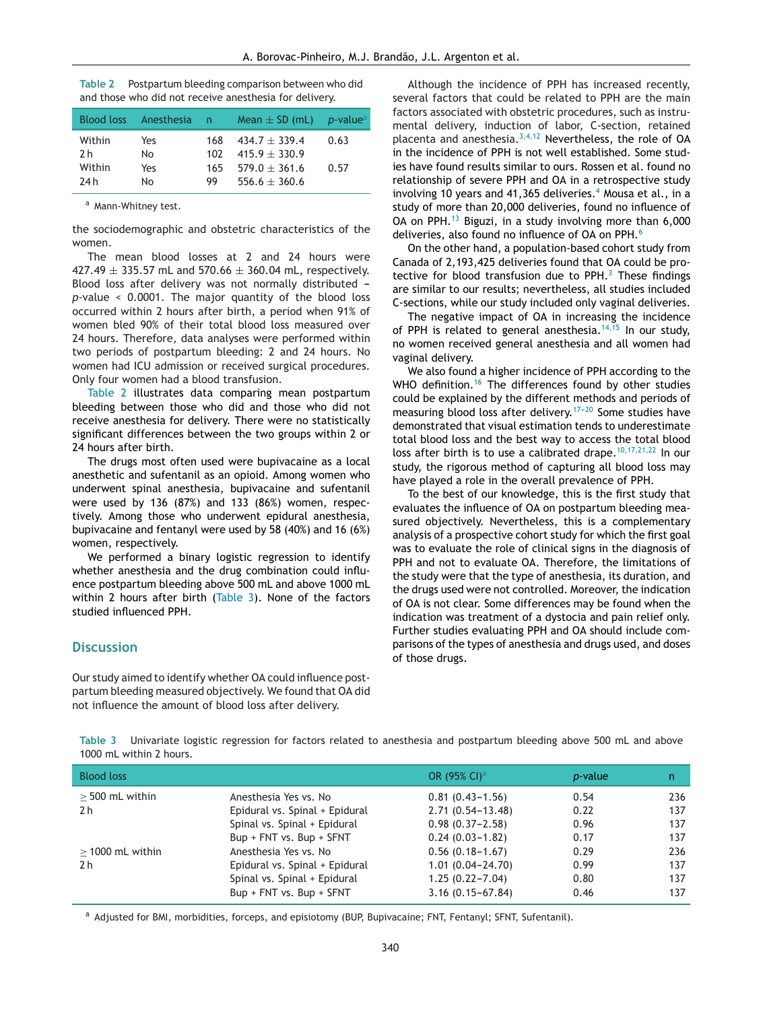| Table 2 | Postpartum bleeding comparison between who did         |
|---------|--------------------------------------------------------|
|         | and those who did not receive anesthesia for delivery. |

|                                 | Blood loss Anesthesia n |                         | Mean $\pm$ SD (mL) p-value                                                 |              |
|---------------------------------|-------------------------|-------------------------|----------------------------------------------------------------------------|--------------|
| Within<br>2 h<br>Within<br>24 h | Yes<br>No<br>Yes<br>No  | 168<br>102<br>165<br>99 | $434.7 + 339.4$<br>$415.9 + 330.9$<br>$579.0 + 361.6$<br>$556.6 \pm 360.6$ | 0.63<br>0.57 |

a Mann-Whitney test.

the sociodemographic and obstetric characteristics of the women.

The mean blood losses at 2 and 24 hours were 427.49  $\pm$  335.57 mL and 570.66  $\pm$  360.04 mL, respectively. Blood loss after delivery was not normally distributed  $$ *p*-value < 0.0001. The major quantity of the blood loss occurred within 2 hours after birth, a period when 91% of women bled 90% of their total blood loss measured over 24 hours. Therefore, data analyses were performed within two periods of postpartum bleeding: 2 and 24 hours. No women had ICU admission or received surgical procedures. Only four women had a blood transfusion.

Table 2 illustrates data comparing mean postpartum bleeding between those who did and those who did not receive anesthesia for delivery. There were no statistically significant differences between the two groups within 2 or 24 hours after birth.

The drugs most often used were bupivacaine as a local anesthetic and sufentanil as an opioid. Among women who underwent spinal anesthesia, bupivacaine and sufentanil were used by 136 (87%) and 133 (86%) women, respectively. Among those who underwent epidural anesthesia, bupivacaine and fentanyl were used by 58 (40%) and 16 (6%) women, respectively.

We performed a binary logistic regression to identify whether anesthesia and the drug combination could influence postpartum bleeding above 500 mL and above 1000 mL within 2 hours after birth (Table 3). None of the factors studied influenced PPH.

#### **Discussion**

Our study aimed to identify whether OA could influence postpartum bleeding measured objectively. We found that OA did not influence the amount of blood loss after delivery.

Although the incidence of PPH has increased recently, several factors that could be related to PPH are the main factors associated with obstetric procedures, such as instrumental delivery, induction of labor, C-section, retained placenta and anesthesia. $3,4,12$  Nevertheless, the role of OA in the incidence of PPH is not well established. Some studies have found results similar to ours. Rossen et al. found no relationship of severe PPH and OA in a retrospective study involving 10 years and [4](#page-3-0)1,365 deliveries. $4$  Mousa et al., in a study of more than 20,000 deliveries, found no influence of OA on PPH.[13](#page-3-0) Biguzi, in a study involving more than 6,000 deliveries, also found no influence of OA on PPH.<sup>[6](#page-3-0)</sup>

On the other hand, a population-based cohort study from Canada of 2,193,425 deliveries found that OA could be protective for blood transfusion due to  $PPH<sup>3</sup>$  $PPH<sup>3</sup>$  $PPH<sup>3</sup>$ . These findings are similar to our results; nevertheless, all studies included C-sections, while our study included only vaginal deliveries.

The negative impact of OA in increasing the incidence of PPH is related to general anesthesia.<sup>[14,15](#page-3-0)</sup> In our study, no women received general anesthesia and all women had vaginal delivery.

We also found a higher incidence of PPH according to the WHO definition.<sup>[16](#page-3-0)</sup> The differences found by other studies could be explained by the different methods and periods of measuring blood loss after delivery.<sup>17-20</sup> Some studies have demonstrated that visual estimation tends to underestimate total blood loss and the best way to access the total blood loss after birth is to use a calibrated drape.  $10,17,21,22$  In our study, the rigorous method of capturing all blood loss may have played a role in the overall prevalence of PPH.

To the best of our knowledge, this is the first study that evaluates the influence of OA on postpartum bleeding measured objectively. Nevertheless, this is a complementary analysis of a prospective cohort study for which the first goal was to evaluate the role of clinical signs in the diagnosis of PPH and not to evaluate OA. Therefore, the limitations of the study were that the type of anesthesia, its duration, and the drugs used were not controlled. Moreover, the indication of OA is not clear. Some differences may be found when the indication was treatment of a dystocia and pain relief only. Further studies evaluating PPH and OA should include comparisons of the types of anesthesia and drugs used, and doses of those drugs.

**Table 3** Univariate logistic regression for factors related to anesthesia and postpartum bleeding above 500 mL and above 1000 mL within 2 hours.

| <b>Blood loss</b>  |                                | OR (95% CI) <sup>a</sup> | <i>p</i> -value | n.  |
|--------------------|--------------------------------|--------------------------|-----------------|-----|
| $>$ 500 mL within  | Anesthesia Yes vs. No          | $0.81(0.43 - 1.56)$      | 0.54            | 236 |
| 2 h                | Epidural vs. Spinal + Epidural | $2.71(0.54 - 13.48)$     | 0.22            | 137 |
|                    | Spinal vs. Spinal + Epidural   | $0.98(0.37-2.58)$        | 0.96            | 137 |
|                    | Bup + FNT vs. Bup + SFNT       | $0.24(0.03 - 1.82)$      | 0.17            | 137 |
| $>$ 1000 mL within | Anesthesia Yes vs. No          | $0.56(0.18-1.67)$        | 0.29            | 236 |
| 2 <sub>h</sub>     | Epidural vs. Spinal + Epidural | $1.01(0.04 - 24.70)$     | 0.99            | 137 |
|                    | Spinal vs. Spinal + Epidural   | $1.25(0.22 - 7.04)$      | 0.80            | 137 |
|                    | Bup + FNT vs. Bup + SFNT       | $3.16(0.15 - 67.84)$     | 0.46            | 137 |

a Adjusted for BMI, morbidities, forceps, and episiotomy (BUP, Bupivacaine; FNT, Fentanyl; SFNT, Sufentanil).